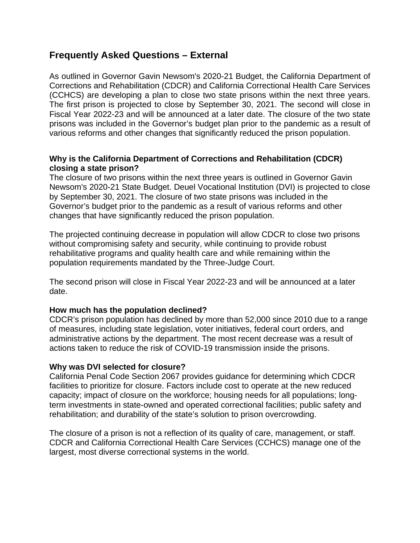# **Frequently Asked Questions – External**

As outlined in Governor Gavin Newsom's 2020-21 Budget, the California Department of Corrections and Rehabilitation (CDCR) and California Correctional Health Care Services (CCHCS) are developing a plan to close two state prisons within the next three years. The first prison is projected to close by September 30, 2021. The second will close in Fiscal Year 2022-23 and will be announced at a later date. The closure of the two state prisons was included in the Governor's budget plan prior to the pandemic as a result of various reforms and other changes that significantly reduced the prison population.

### **Why is the California Department of Corrections and Rehabilitation (CDCR) closing a state prison?**

The closure of two prisons within the next three years is outlined in Governor Gavin Newsom's 2020-21 State Budget. Deuel Vocational Institution (DVI) is projected to close by September 30, 2021. The closure of two state prisons was included in the Governor's budget prior to the pandemic as a result of various reforms and other changes that have significantly reduced the prison population.

The projected continuing decrease in population will allow CDCR to close two prisons without compromising safety and security, while continuing to provide robust rehabilitative programs and quality health care and while remaining within the population requirements mandated by the Three-Judge Court.

The second prison will close in Fiscal Year 2022-23 and will be announced at a later date.

### **How much has the population declined?**

CDCR's prison population has declined by more than 52,000 since 2010 due to a range of measures, including state legislation, voter initiatives, federal court orders, and administrative actions by the department. The most recent decrease was a result of actions taken to reduce the risk of COVID-19 transmission inside the prisons.

### **Why was DVI selected for closure?**

California Penal Code Section 2067 provides guidance for determining which CDCR facilities to prioritize for closure. Factors include cost to operate at the new reduced capacity; impact of closure on the workforce; housing needs for all populations; longterm investments in state-owned and operated correctional facilities; public safety and rehabilitation; and durability of the state's solution to prison overcrowding.

The closure of a prison is not a reflection of its quality of care, management, or staff. CDCR and California Correctional Health Care Services (CCHCS) manage one of the largest, most diverse correctional systems in the world.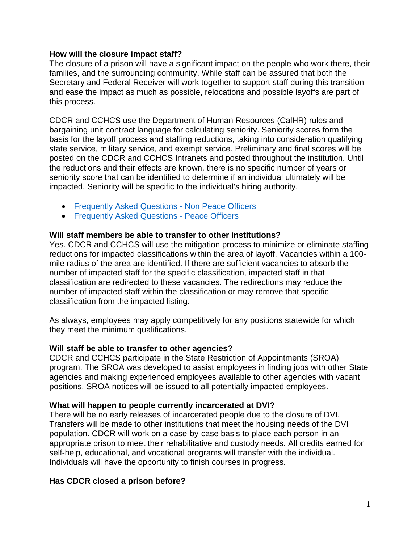#### **How will the closure impact staff?**

The closure of a prison will have a significant impact on the people who work there, their families, and the surrounding community. While staff can be assured that both the Secretary and Federal Receiver will work together to support staff during this transition and ease the impact as much as possible, relocations and possible layoffs are part of this process.

CDCR and CCHCS use the Department of Human Resources (CalHR) rules and bargaining unit contract language for calculating seniority. Seniority scores form the basis for the layoff process and staffing reductions, taking into consideration qualifying state service, military service, and exempt service. Preliminary and final scores will be posted on the CDCR and CCHCS Intranets and posted throughout the institution. Until the reductions and their effects are known, there is no specific number of years or seniority score that can be identified to determine if an individual ultimately will be impacted. Seniority will be specific to the individual's hiring authority.

- [Frequently Asked Questions -](http://lifeline/ExecutiveOperations/Communications/Documents/DVINonPeaceOfficers-%20FAQs.pdf) Non Peace Officers
- [Frequently Asked](http://lifeline/ExecutiveOperations/Communications/Documents/DVIPeaceOfficersFAQs.pdf) Questions Peace Officers

## **Will staff members be able to transfer to other institutions?**

Yes. CDCR and CCHCS will use the mitigation process to minimize or eliminate staffing reductions for impacted classifications within the area of layoff. Vacancies within a 100 mile radius of the area are identified. If there are sufficient vacancies to absorb the number of impacted staff for the specific classification, impacted staff in that classification are redirected to these vacancies. The redirections may reduce the number of impacted staff within the classification or may remove that specific classification from the impacted listing.

As always, employees may apply competitively for any positions statewide for which they meet the minimum qualifications.

### **Will staff be able to transfer to other agencies?**

CDCR and CCHCS participate in the State Restriction of Appointments (SROA) program. The SROA was developed to assist employees in finding jobs with other State agencies and making experienced employees available to other agencies with vacant positions. SROA notices will be issued to all potentially impacted employees.

### **What will happen to people currently incarcerated at DVI?**

There will be no early releases of incarcerated people due to the closure of DVI. Transfers will be made to other institutions that meet the housing needs of the DVI population. CDCR will work on a case-by-case basis to place each person in an appropriate prison to meet their rehabilitative and custody needs. All credits earned for self-help, educational, and vocational programs will transfer with the individual. Individuals will have the opportunity to finish courses in progress.

# **Has CDCR closed a prison before?**